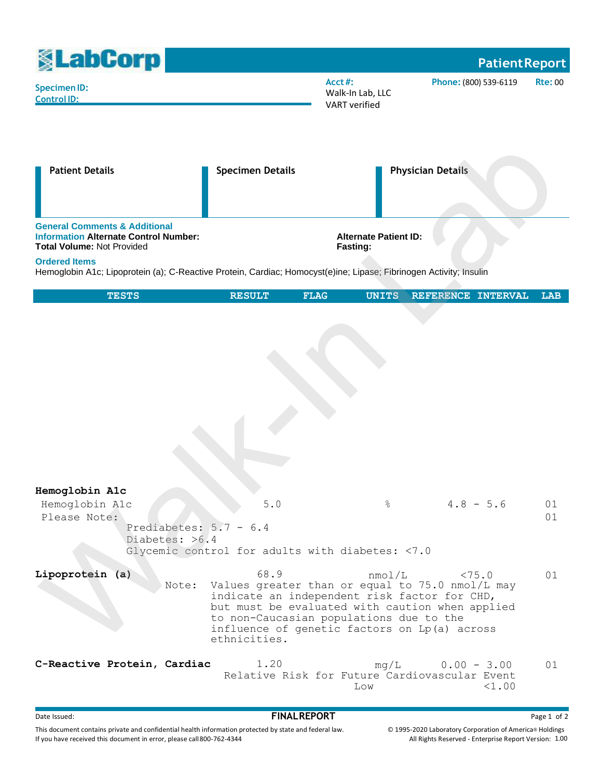| <b><u>SLabCorp</u></b>                                                                                                                                                                                                                                                      |                         |                                                                             |                          | <b>Patient Report</b> |                |
|-----------------------------------------------------------------------------------------------------------------------------------------------------------------------------------------------------------------------------------------------------------------------------|-------------------------|-----------------------------------------------------------------------------|--------------------------|-----------------------|----------------|
| <b>Specimen ID:</b><br><b>Control ID:</b>                                                                                                                                                                                                                                   |                         | Acct#:<br>Phone: (800) 539-6119<br>Walk-In Lab, LLC<br><b>VART</b> verified |                          |                       | <b>Rte: 00</b> |
| <b>Patient Details</b>                                                                                                                                                                                                                                                      | <b>Specimen Details</b> |                                                                             | <b>Physician Details</b> |                       |                |
| <b>General Comments &amp; Additional</b><br><b>Information Alternate Control Number:</b><br><b>Total Volume: Not Provided</b><br><b>Ordered Items</b><br>Hemoglobin A1c; Lipoprotein (a); C-Reactive Protein, Cardiac; Homocyst(e)ine; Lipase; Fibrinogen Activity; Insulin |                         | <b>Alternate Patient ID:</b><br>Fasting:                                    |                          |                       |                |
| <b>TESTS</b>                                                                                                                                                                                                                                                                | <b>RESULT</b>           | <b>FLAG</b><br><b>UNITS</b>                                                 | REFERENCE INTERVAL       |                       | <b>LAB</b>     |
|                                                                                                                                                                                                                                                                             |                         |                                                                             |                          |                       |                |

| Hemoglobin Alc                           |                                                                                                 |               |               |    |
|------------------------------------------|-------------------------------------------------------------------------------------------------|---------------|---------------|----|
| Hemoglobin A1c                           | 5.0                                                                                             | $\frac{6}{6}$ | $4.8 - 5.6$   | 01 |
| Please Note:<br>Prediabetes: $5.7 - 6.4$ |                                                                                                 |               |               | 01 |
| Diabetes: >6.4                           |                                                                                                 |               |               |    |
|                                          | Glycemic control for adults with diabetes: <7.0                                                 |               |               |    |
| Lipoprotein (a)                          | 68.9                                                                                            | nmol/L        | < 75.0        | 01 |
|                                          | Note: Values greater than or equal to 75.0 nmol/L may                                           |               |               |    |
|                                          | indicate an independent risk factor for CHD,<br>but must be evaluated with caution when applied |               |               |    |
|                                          | to non-Caucasian populations due to the                                                         |               |               |    |
|                                          | influence of genetic factors on Lp(a) across                                                    |               |               |    |
|                                          | ethnicities.                                                                                    |               |               |    |
| C-Reactive Protein, Cardiac              | 1.20                                                                                            | mq/L          | $0.00 - 3.00$ | 01 |
|                                          | Relative Risk for Future Cardiovascular Event                                                   | Low           | <1.00         |    |
|                                          |                                                                                                 |               |               |    |

## external of the Issued:<br> **FINALREPORT** Page 1 of 2

This document contains private and confidential health information protected by state and federal law. If you have received this document in error, please call800-762-4344

© 1995-2020 Laboratory Corporation of America® Holdings All Rights Reserved - Enterprise Report Version: 1.00